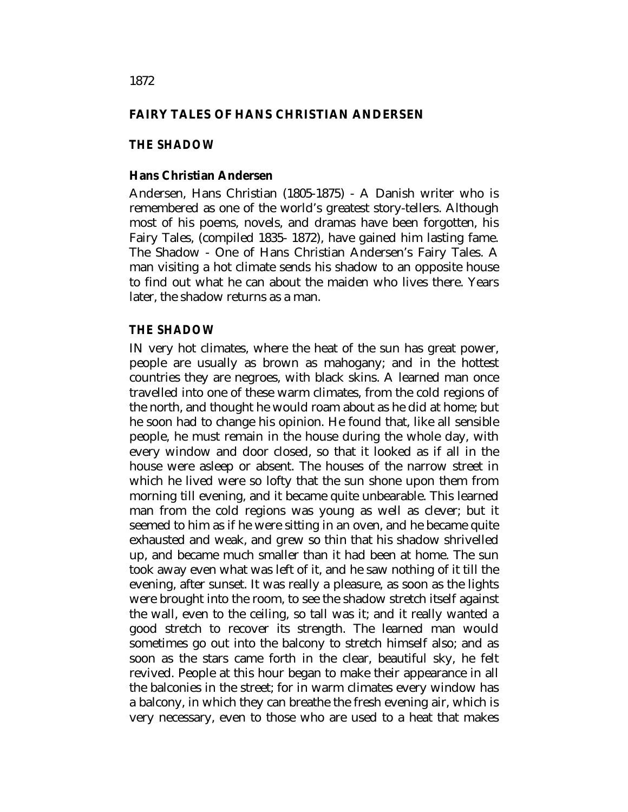## **FAIRY TALES OF HANS CHRISTIAN ANDERSEN**

### *THE SHADOW*

#### **Hans Christian Andersen**

Andersen, Hans Christian (1805-1875) - A Danish writer who is remembered as one of the world's greatest story-tellers. Although most of his poems, novels, and dramas have been forgotten, his Fairy Tales, (compiled 1835- 1872), have gained him lasting fame. The Shadow - One of Hans Christian Andersen's Fairy Tales. A man visiting a hot climate sends his shadow to an opposite house to find out what he can about the maiden who lives there. Years later, the shadow returns as a man.

#### *THE SHADOW*

IN very hot climates, where the heat of the sun has great power, people are usually as brown as mahogany; and in the hottest countries they are negroes, with black skins. A learned man once travelled into one of these warm climates, from the cold regions of the north, and thought he would roam about as he did at home; but he soon had to change his opinion. He found that, like all sensible people, he must remain in the house during the whole day, with every window and door closed, so that it looked as if all in the house were asleep or absent. The houses of the narrow street in which he lived were so lofty that the sun shone upon them from morning till evening, and it became quite unbearable. This learned man from the cold regions was young as well as clever; but it seemed to him as if he were sitting in an oven, and he became quite exhausted and weak, and grew so thin that his shadow shrivelled up, and became much smaller than it had been at home. The sun took away even what was left of it, and he saw nothing of it till the evening, after sunset. It was really a pleasure, as soon as the lights were brought into the room, to see the shadow stretch itself against the wall, even to the ceiling, so tall was it; and it really wanted a good stretch to recover its strength. The learned man would sometimes go out into the balcony to stretch himself also; and as soon as the stars came forth in the clear, beautiful sky, he felt revived. People at this hour began to make their appearance in all the balconies in the street; for in warm climates every window has a balcony, in which they can breathe the fresh evening air, which is very necessary, even to those who are used to a heat that makes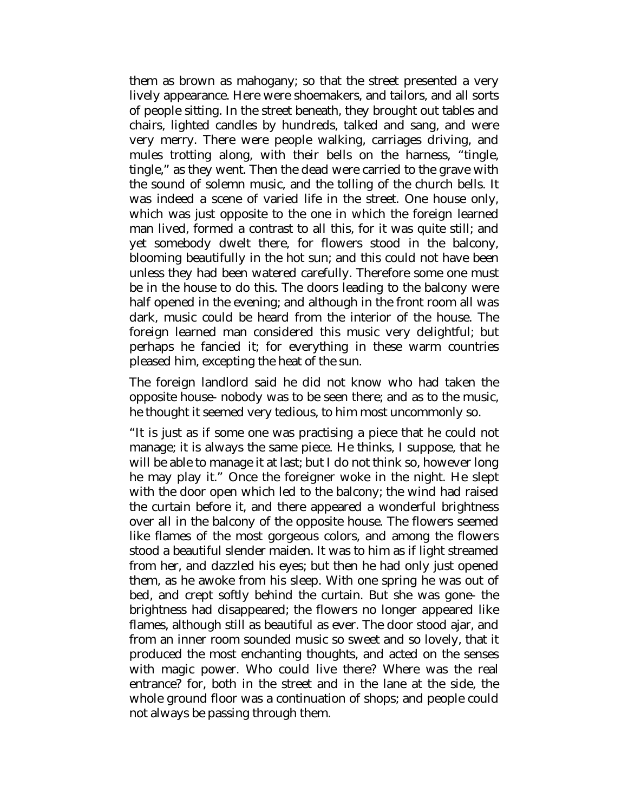them as brown as mahogany; so that the street presented a very lively appearance. Here were shoemakers, and tailors, and all sorts of people sitting. In the street beneath, they brought out tables and chairs, lighted candles by hundreds, talked and sang, and were very merry. There were people walking, carriages driving, and mules trotting along, with their bells on the harness, "tingle, tingle," as they went. Then the dead were carried to the grave with the sound of solemn music, and the tolling of the church bells. It was indeed a scene of varied life in the street. One house only, which was just opposite to the one in which the foreign learned man lived, formed a contrast to all this, for it was quite still; and yet somebody dwelt there, for flowers stood in the balcony, blooming beautifully in the hot sun; and this could not have been unless they had been watered carefully. Therefore some one must be in the house to do this. The doors leading to the balcony were half opened in the evening; and although in the front room all was dark, music could be heard from the interior of the house. The foreign learned man considered this music very delightful; but perhaps he fancied it; for everything in these warm countries pleased him, excepting the heat of the sun.

The foreign landlord said he did not know who had taken the opposite house- nobody was to be seen there; and as to the music, he thought it seemed very tedious, to him most uncommonly so.

"It is just as if some one was practising a piece that he could not manage; it is always the same piece. He thinks, I suppose, that he will be able to manage it at last; but I do not think so, however long he may play it." Once the foreigner woke in the night. He slept with the door open which led to the balcony; the wind had raised the curtain before it, and there appeared a wonderful brightness over all in the balcony of the opposite house. The flowers seemed like flames of the most gorgeous colors, and among the flowers stood a beautiful slender maiden. It was to him as if light streamed from her, and dazzled his eyes; but then he had only just opened them, as he awoke from his sleep. With one spring he was out of bed, and crept softly behind the curtain. But she was gone- the brightness had disappeared; the flowers no longer appeared like flames, although still as beautiful as ever. The door stood ajar, and from an inner room sounded music so sweet and so lovely, that it produced the most enchanting thoughts, and acted on the senses with magic power. Who could live there? Where was the real entrance? for, both in the street and in the lane at the side, the whole ground floor was a continuation of shops; and people could not always be passing through them.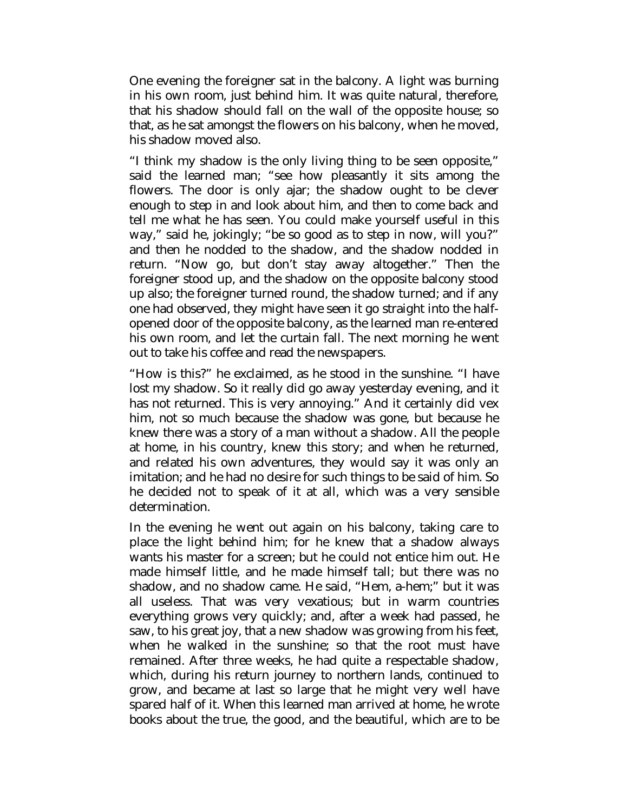One evening the foreigner sat in the balcony. A light was burning in his own room, just behind him. It was quite natural, therefore, that his shadow should fall on the wall of the opposite house; so that, as he sat amongst the flowers on his balcony, when he moved, his shadow moved also.

"I think my shadow is the only living thing to be seen opposite," said the learned man; "see how pleasantly it sits among the flowers. The door is only ajar; the shadow ought to be clever enough to step in and look about him, and then to come back and tell me what he has seen. You could make yourself useful in this way," said he, jokingly; "be so good as to step in now, will you?" and then he nodded to the shadow, and the shadow nodded in return. "Now go, but don't stay away altogether." Then the foreigner stood up, and the shadow on the opposite balcony stood up also; the foreigner turned round, the shadow turned; and if any one had observed, they might have seen it go straight into the halfopened door of the opposite balcony, as the learned man re-entered his own room, and let the curtain fall. The next morning he went out to take his coffee and read the newspapers.

"How is this?" he exclaimed, as he stood in the sunshine. "I have lost my shadow. So it really did go away yesterday evening, and it has not returned. This is very annoying." And it certainly did vex him, not so much because the shadow was gone, but because he knew there was a story of a man without a shadow. All the people at home, in his country, knew this story; and when he returned, and related his own adventures, they would say it was only an imitation; and he had no desire for such things to be said of him. So he decided not to speak of it at all, which was a very sensible determination.

In the evening he went out again on his balcony, taking care to place the light behind him; for he knew that a shadow always wants his master for a screen; but he could not entice him out. He made himself little, and he made himself tall; but there was no shadow, and no shadow came. He said, "Hem, a-hem;" but it was all useless. That was very vexatious; but in warm countries everything grows very quickly; and, after a week had passed, he saw, to his great joy, that a new shadow was growing from his feet, when he walked in the sunshine; so that the root must have remained. After three weeks, he had quite a respectable shadow, which, during his return journey to northern lands, continued to grow, and became at last so large that he might very well have spared half of it. When this learned man arrived at home, he wrote books about the true, the good, and the beautiful, which are to be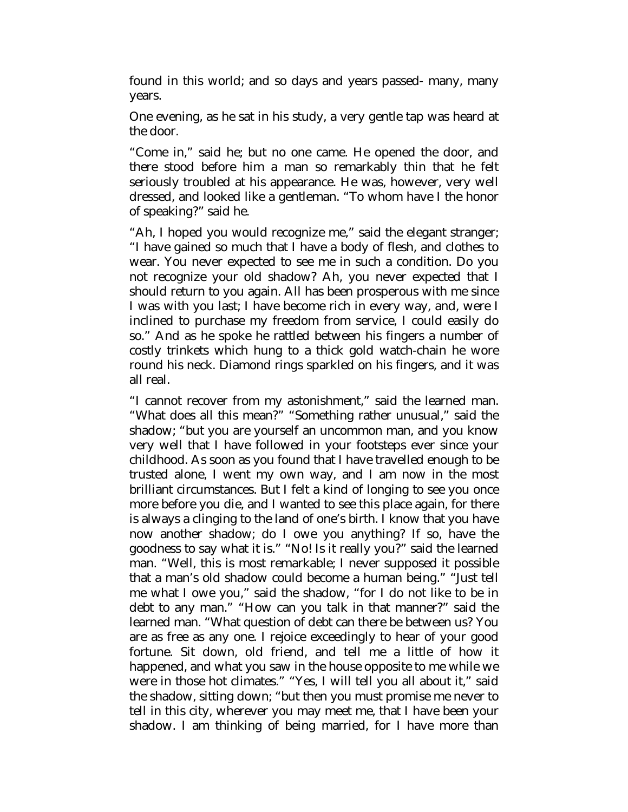found in this world; and so days and years passed- many, many years.

One evening, as he sat in his study, a very gentle tap was heard at the door.

"Come in," said he; but no one came. He opened the door, and there stood before him a man so remarkably thin that he felt seriously troubled at his appearance. He was, however, very well dressed, and looked like a gentleman. "To whom have I the honor of speaking?" said he.

"Ah, I hoped you would recognize me," said the elegant stranger; "I have gained so much that I have a body of flesh, and clothes to wear. You never expected to see me in such a condition. Do you not recognize your old shadow? Ah, you never expected that I should return to you again. All has been prosperous with me since I was with you last; I have become rich in every way, and, were I inclined to purchase my freedom from service, I could easily do so." And as he spoke he rattled between his fingers a number of costly trinkets which hung to a thick gold watch-chain he wore round his neck. Diamond rings sparkled on his fingers, and it was all real.

"I cannot recover from my astonishment," said the learned man. "What does all this mean?" "Something rather unusual," said the shadow; "but you are yourself an uncommon man, and you know very well that I have followed in your footsteps ever since your childhood. As soon as you found that I have travelled enough to be trusted alone, I went my own way, and I am now in the most brilliant circumstances. But I felt a kind of longing to see you once more before you die, and I wanted to see this place again, for there is always a clinging to the land of one's birth. I know that you have now another shadow; do I owe you anything? If so, have the goodness to say what it is." "No! Is it really you?" said the learned man. "Well, this is most remarkable; I never supposed it possible that a man's old shadow could become a human being." "Just tell me what I owe you," said the shadow, "for I do not like to be in debt to any man." "How can you talk in that manner?" said the learned man. "What question of debt can there be between us? You are as free as any one. I rejoice exceedingly to hear of your good fortune. Sit down, old friend, and tell me a little of how it happened, and what you saw in the house opposite to me while we were in those hot climates." "Yes, I will tell you all about it," said the shadow, sitting down; "but then you must promise me never to tell in this city, wherever you may meet me, that I have been your shadow. I am thinking of being married, for I have more than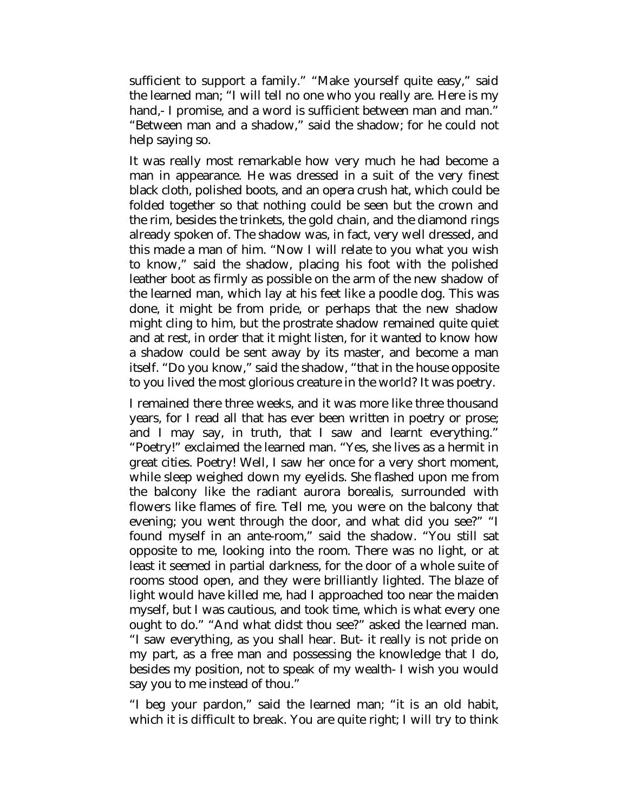sufficient to support a family." "Make yourself quite easy," said the learned man; "I will tell no one who you really are. Here is my hand,- I promise, and a word is sufficient between man and man." "Between man and a shadow," said the shadow; for he could not help saying so.

It was really most remarkable how very much he had become a man in appearance. He was dressed in a suit of the very finest black cloth, polished boots, and an opera crush hat, which could be folded together so that nothing could be seen but the crown and the rim, besides the trinkets, the gold chain, and the diamond rings already spoken of. The shadow was, in fact, very well dressed, and this made a man of him. "Now I will relate to you what you wish to know," said the shadow, placing his foot with the polished leather boot as firmly as possible on the arm of the new shadow of the learned man, which lay at his feet like a poodle dog. This was done, it might be from pride, or perhaps that the new shadow might cling to him, but the prostrate shadow remained quite quiet and at rest, in order that it might listen, for it wanted to know how a shadow could be sent away by its master, and become a man itself. "Do you know," said the shadow, "that in the house opposite to you lived the most glorious creature in the world? It was poetry.

I remained there three weeks, and it was more like three thousand years, for I read all that has ever been written in poetry or prose; and I may say, in truth, that I saw and learnt everything." "Poetry!" exclaimed the learned man. "Yes, she lives as a hermit in great cities. Poetry! Well, I saw her once for a very short moment, while sleep weighed down my eyelids. She flashed upon me from the balcony like the radiant aurora borealis, surrounded with flowers like flames of fire. Tell me, you were on the balcony that evening; you went through the door, and what did you see?" "I found myself in an ante-room," said the shadow. "You still sat opposite to me, looking into the room. There was no light, or at least it seemed in partial darkness, for the door of a whole suite of rooms stood open, and they were brilliantly lighted. The blaze of light would have killed me, had I approached too near the maiden myself, but I was cautious, and took time, which is what every one ought to do." "And what didst thou see?" asked the learned man. "I saw everything, as you shall hear. But- it really is not pride on my part, as a free man and possessing the knowledge that I do, besides my position, not to speak of my wealth- I wish you would say you to me instead of thou."

"I beg your pardon," said the learned man; "it is an old habit, which it is difficult to break. You are quite right; I will try to think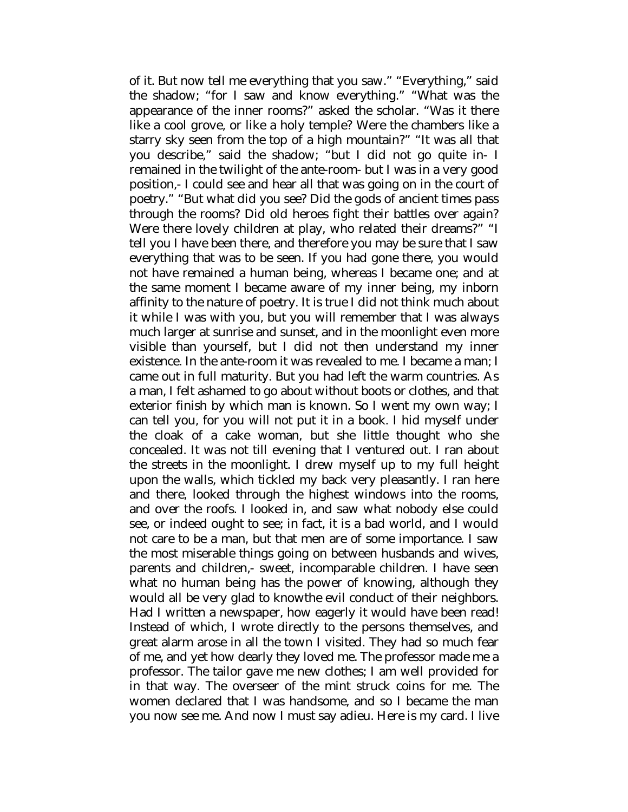of it. But now tell me everything that you saw." "Everything," said the shadow; "for I saw and know everything." "What was the appearance of the inner rooms?" asked the scholar. "Was it there like a cool grove, or like a holy temple? Were the chambers like a starry sky seen from the top of a high mountain?" "It was all that you describe," said the shadow; "but I did not go quite in- I remained in the twilight of the ante-room- but I was in a very good position,- I could see and hear all that was going on in the court of poetry." "But what did you see? Did the gods of ancient times pass through the rooms? Did old heroes fight their battles over again? Were there lovely children at play, who related their dreams?" "I tell you I have been there, and therefore you may be sure that I saw everything that was to be seen. If you had gone there, you would not have remained a human being, whereas I became one; and at the same moment I became aware of my inner being, my inborn affinity to the nature of poetry. It is true I did not think much about it while I was with you, but you will remember that I was always much larger at sunrise and sunset, and in the moonlight even more visible than yourself, but I did not then understand my inner existence. In the ante-room it was revealed to me. I became a man; I came out in full maturity. But you had left the warm countries. As a man, I felt ashamed to go about without boots or clothes, and that exterior finish by which man is known. So I went my own way; I can tell you, for you will not put it in a book. I hid myself under the cloak of a cake woman, but she little thought who she concealed. It was not till evening that I ventured out. I ran about the streets in the moonlight. I drew myself up to my full height upon the walls, which tickled my back very pleasantly. I ran here and there, looked through the highest windows into the rooms, and over the roofs. I looked in, and saw what nobody else could see, or indeed ought to see; in fact, it is a bad world, and I would not care to be a man, but that men are of some importance. I saw the most miserable things going on between husbands and wives, parents and children,- sweet, incomparable children. I have seen what no human being has the power of knowing, although they would all be very glad to knowthe evil conduct of their neighbors. Had I written a newspaper, how eagerly it would have been read! Instead of which, I wrote directly to the persons themselves, and great alarm arose in all the town I visited. They had so much fear of me, and yet how dearly they loved me. The professor made me a professor. The tailor gave me new clothes; I am well provided for in that way. The overseer of the mint struck coins for me. The women declared that I was handsome, and so I became the man you now see me. And now I must say adieu. Here is my card. I live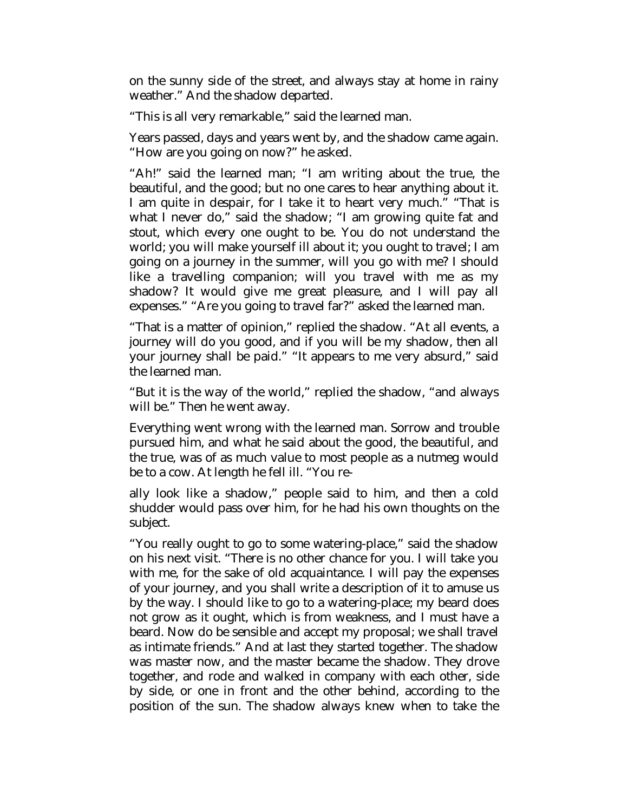on the sunny side of the street, and always stay at home in rainy weather." And the shadow departed.

"This is all very remarkable," said the learned man.

Years passed, days and years went by, and the shadow came again. "How are you going on now?" he asked.

"Ah!" said the learned man; "I am writing about the true, the beautiful, and the good; but no one cares to hear anything about it. I am quite in despair, for I take it to heart very much." "That is what I never do," said the shadow; "I am growing quite fat and stout, which every one ought to be. You do not understand the world; you will make yourself ill about it; you ought to travel; I am going on a journey in the summer, will you go with me? I should like a travelling companion; will you travel with me as my shadow? It would give me great pleasure, and I will pay all expenses." "Are you going to travel far?" asked the learned man.

"That is a matter of opinion," replied the shadow. "At all events, a journey will do you good, and if you will be my shadow, then all your journey shall be paid." "It appears to me very absurd," said the learned man.

"But it is the way of the world," replied the shadow, "and always will be." Then he went away.

Everything went wrong with the learned man. Sorrow and trouble pursued him, and what he said about the good, the beautiful, and the true, was of as much value to most people as a nutmeg would be to a cow. At length he fell ill. "You re-

ally look like a shadow," people said to him, and then a cold shudder would pass over him, for he had his own thoughts on the subject.

"You really ought to go to some watering-place," said the shadow on his next visit. "There is no other chance for you. I will take you with me, for the sake of old acquaintance. I will pay the expenses of your journey, and you shall write a description of it to amuse us by the way. I should like to go to a watering-place; my beard does not grow as it ought, which is from weakness, and I must have a beard. Now do be sensible and accept my proposal; we shall travel as intimate friends." And at last they started together. The shadow was master now, and the master became the shadow. They drove together, and rode and walked in company with each other, side by side, or one in front and the other behind, according to the position of the sun. The shadow always knew when to take the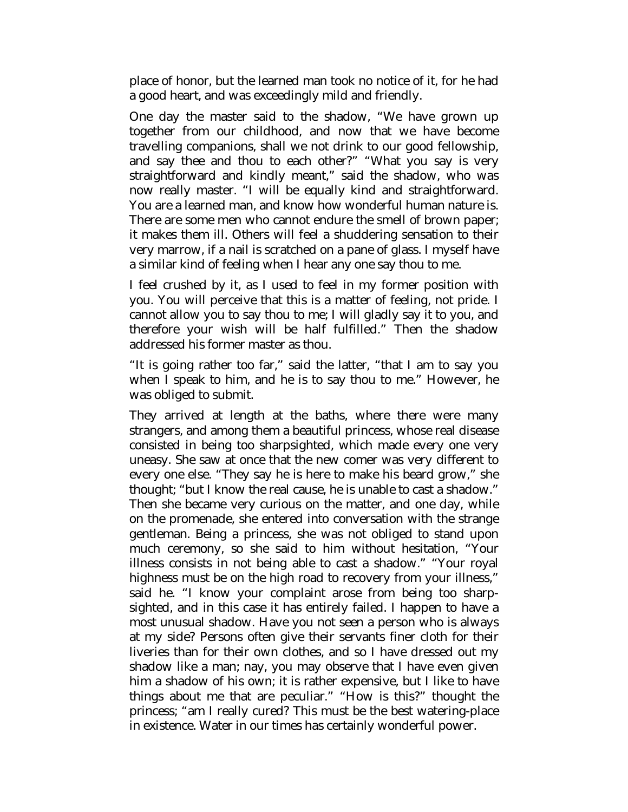place of honor, but the learned man took no notice of it, for he had a good heart, and was exceedingly mild and friendly.

One day the master said to the shadow, "We have grown up together from our childhood, and now that we have become travelling companions, shall we not drink to our good fellowship, and say thee and thou to each other?" "What you say is very straightforward and kindly meant," said the shadow, who was now really master. "I will be equally kind and straightforward. You are a learned man, and know how wonderful human nature is. There are some men who cannot endure the smell of brown paper; it makes them ill. Others will feel a shuddering sensation to their very marrow, if a nail is scratched on a pane of glass. I myself have a similar kind of feeling when I hear any one say thou to me.

I feel crushed by it, as I used to feel in my former position with you. You will perceive that this is a matter of feeling, not pride. I cannot allow you to say thou to me; I will gladly say it to you, and therefore your wish will be half fulfilled." Then the shadow addressed his former master as thou.

"It is going rather too far," said the latter, "that I am to say you when I speak to him, and he is to say thou to me." However, he was obliged to submit.

They arrived at length at the baths, where there were many strangers, and among them a beautiful princess, whose real disease consisted in being too sharpsighted, which made every one very uneasy. She saw at once that the new comer was very different to every one else. "They say he is here to make his beard grow," she thought; "but I know the real cause, he is unable to cast a shadow." Then she became very curious on the matter, and one day, while on the promenade, she entered into conversation with the strange gentleman. Being a princess, she was not obliged to stand upon much ceremony, so she said to him without hesitation, "Your illness consists in not being able to cast a shadow." "Your royal highness must be on the high road to recovery from your illness," said he. "I know your complaint arose from being too sharpsighted, and in this case it has entirely failed. I happen to have a most unusual shadow. Have you not seen a person who is always at my side? Persons often give their servants finer cloth for their liveries than for their own clothes, and so I have dressed out my shadow like a man; nay, you may observe that I have even given him a shadow of his own; it is rather expensive, but I like to have things about me that are peculiar." "How is this?" thought the princess; "am I really cured? This must be the best watering-place in existence. Water in our times has certainly wonderful power.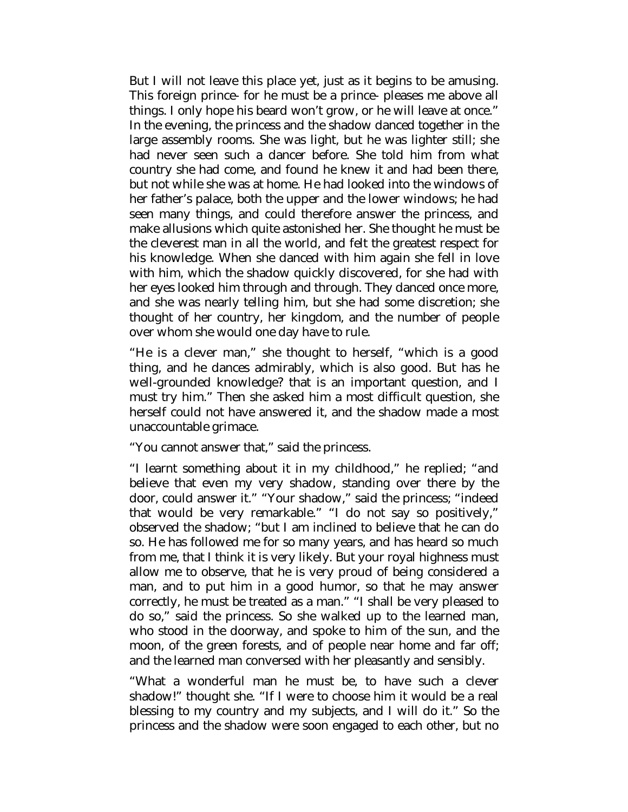But I will not leave this place yet, just as it begins to be amusing. This foreign prince- for he must be a prince- pleases me above all things. I only hope his beard won't grow, or he will leave at once." In the evening, the princess and the shadow danced together in the large assembly rooms. She was light, but he was lighter still; she had never seen such a dancer before. She told him from what country she had come, and found he knew it and had been there, but not while she was at home. He had looked into the windows of her father's palace, both the upper and the lower windows; he had seen many things, and could therefore answer the princess, and make allusions which quite astonished her. She thought he must be the cleverest man in all the world, and felt the greatest respect for his knowledge. When she danced with him again she fell in love with him, which the shadow quickly discovered, for she had with her eyes looked him through and through. They danced once more, and she was nearly telling him, but she had some discretion; she thought of her country, her kingdom, and the number of people over whom she would one day have to rule.

"He is a clever man," she thought to herself, "which is a good thing, and he dances admirably, which is also good. But has he well-grounded knowledge? that is an important question, and I must try him." Then she asked him a most difficult question, she herself could not have answered it, and the shadow made a most unaccountable grimace.

"You cannot answer that," said the princess.

"I learnt something about it in my childhood," he replied; "and believe that even my very shadow, standing over there by the door, could answer it." "Your shadow," said the princess; "indeed that would be very remarkable." "I do not say so positively," observed the shadow; "but I am inclined to believe that he can do so. He has followed me for so many years, and has heard so much from me, that I think it is very likely. But your royal highness must allow me to observe, that he is very proud of being considered a man, and to put him in a good humor, so that he may answer correctly, he must be treated as a man." "I shall be very pleased to do so," said the princess. So she walked up to the learned man, who stood in the doorway, and spoke to him of the sun, and the moon, of the green forests, and of people near home and far off; and the learned man conversed with her pleasantly and sensibly.

"What a wonderful man he must be, to have such a clever shadow!" thought she. "If I were to choose him it would be a real blessing to my country and my subjects, and I will do it." So the princess and the shadow were soon engaged to each other, but no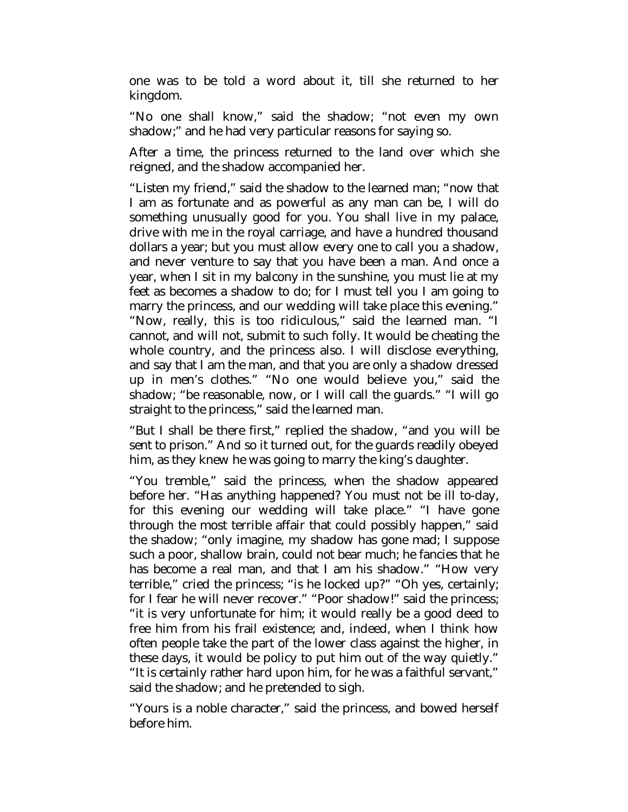one was to be told a word about it, till she returned to her kingdom.

"No one shall know," said the shadow; "not even my own shadow;" and he had very particular reasons for saying so.

After a time, the princess returned to the land over which she reigned, and the shadow accompanied her.

"Listen my friend," said the shadow to the learned man; "now that I am as fortunate and as powerful as any man can be, I will do something unusually good for you. You shall live in my palace, drive with me in the royal carriage, and have a hundred thousand dollars a year; but you must allow every one to call you a shadow, and never venture to say that you have been a man. And once a year, when I sit in my balcony in the sunshine, you must lie at my feet as becomes a shadow to do; for I must tell you I am going to marry the princess, and our wedding will take place this evening." "Now, really, this is too ridiculous," said the learned man. "I cannot, and will not, submit to such folly. It would be cheating the whole country, and the princess also. I will disclose everything, and say that I am the man, and that you are only a shadow dressed up in men's clothes." "No one would believe you," said the shadow; "be reasonable, now, or I will call the guards." "I will go straight to the princess," said the learned man.

"But I shall be there first," replied the shadow, "and you will be sent to prison." And so it turned out, for the guards readily obeyed him, as they knew he was going to marry the king's daughter.

"You tremble," said the princess, when the shadow appeared before her. "Has anything happened? You must not be ill to-day, for this evening our wedding will take place." "I have gone through the most terrible affair that could possibly happen," said the shadow; "only imagine, my shadow has gone mad; I suppose such a poor, shallow brain, could not bear much; he fancies that he has become a real man, and that I am his shadow." "How very terrible," cried the princess; "is he locked up?" "Oh yes, certainly; for I fear he will never recover." "Poor shadow!" said the princess; "it is very unfortunate for him; it would really be a good deed to free him from his frail existence; and, indeed, when I think how often people take the part of the lower class against the higher, in these days, it would be policy to put him out of the way quietly." "It is certainly rather hard upon him, for he was a faithful servant," said the shadow; and he pretended to sigh.

"Yours is a noble character," said the princess, and bowed herself before him.